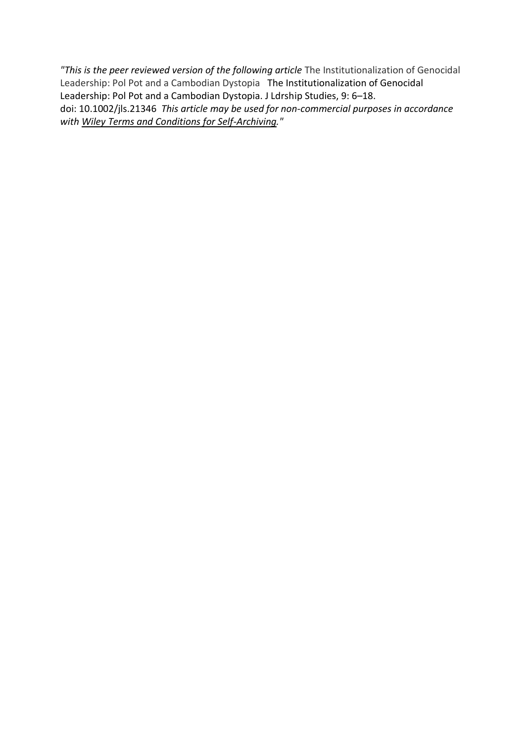*"This is the peer reviewed version of the following article* The Institutionalization of Genocidal Leadership: Pol Pot and a Cambodian DystopiaThe Institutionalization of Genocidal Leadership: Pol Pot and a Cambodian Dystopia. J Ldrship Studies, 9: 6–18. doi: 10.1002/jls.21346 *This article may be used for non-commercial purposes in accordance with [Wiley Terms and Conditions for Self-Archiving.](http://olabout.wiley.com/WileyCDA/Section/id-820227.html#terms)"*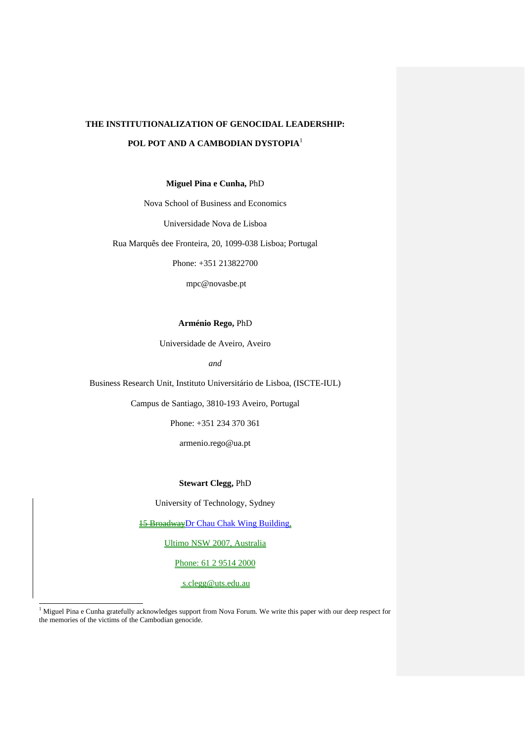# **THE INSTITUTIONALIZATION OF GENOCIDAL LEADERSHIP:**

# **POL POT AND A CAMBODIAN DYSTOPIA**<sup>1</sup>

**Miguel Pina e Cunha,** PhD

Nova School of Business and Economics

Universidade Nova de Lisboa

Rua Marquês dee Fronteira, 20, 1099-038 Lisboa; Portugal

Phone: +351 213822700

mpc@novasbe.pt

#### **Arménio Rego,** PhD

Universidade de Aveiro, Aveiro

#### *and*

Business Research Unit, Instituto Universitário de Lisboa, (ISCTE-IUL)

Campus de Santiago, 3810-193 Aveiro, Portugal

Phone: +351 234 370 361

armenio.rego@ua.pt

**Stewart Clegg,** PhD

University of Technology, Sydney

15 BroadwayDr Chau Chak Wing Building,

Ultimo NSW 2007, Australia

Phone: [61 2 9514 2000](javascript:void(0))

s.clegg@uts.edu.au

<sup>1</sup> Miguel Pina e Cunha gratefully acknowledges support from Nova Forum. We write this paper with our deep respect for the memories of the victims of the Cambodian genocide.

1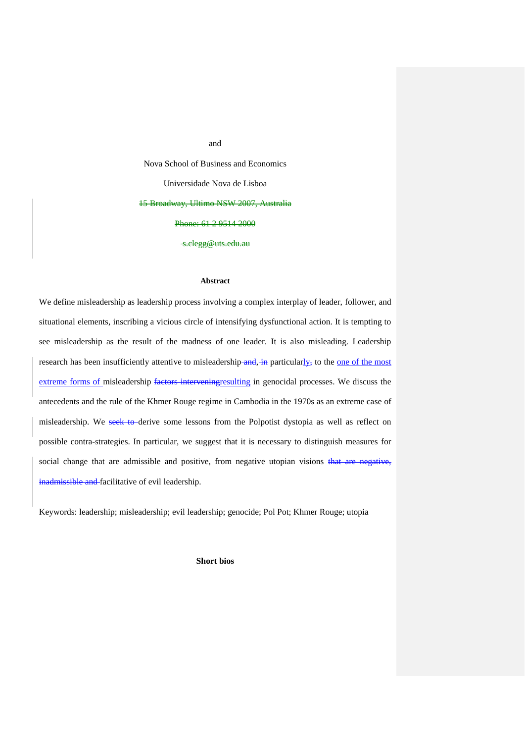#### and

Nova School of Business and Economics Universidade Nova de Lisboa Ultimo NSW 2007, Australia Phone: [61 2 9514 2000](javascript:void(0)) s.clegg@uts.edu.au

#### **Abstract**

We define misleadership as leadership process involving a complex interplay of leader, follower, and situational elements, inscribing a vicious circle of intensifying dysfunctional action. It is tempting to see misleadership as the result of the madness of one leader. It is also misleading. Leadership research has been insufficiently attentive to misleadership and, in particularly, to the one of the most extreme forms of misleadership factors intervening resulting in genocidal processes. We discuss the antecedents and the rule of the Khmer Rouge regime in Cambodia in the 1970s as an extreme case of misleadership. We seek to derive some lessons from the Polpotist dystopia as well as reflect on possible contra-strategies. In particular, we suggest that it is necessary to distinguish measures for social change that are admissible and positive, from negative utopian visions that are negative, inadmissible and facilitative of evil leadership.

Keywords: leadership; misleadership; evil leadership; genocide; Pol Pot; Khmer Rouge; utopia

**Short bios**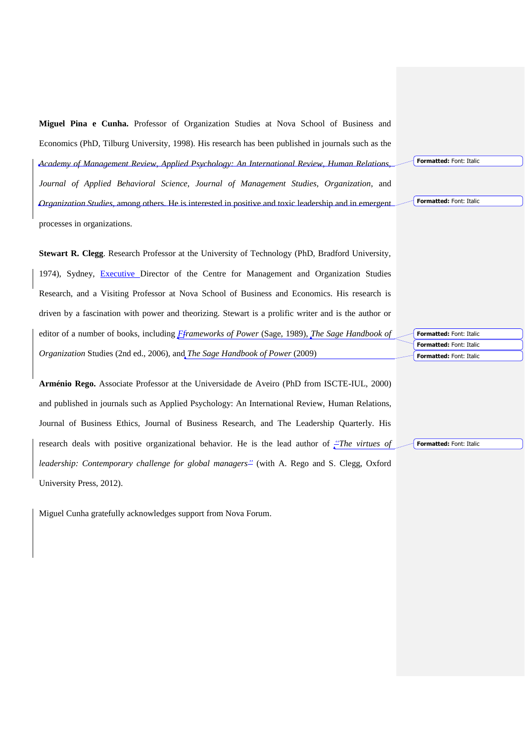**Miguel Pina e Cunha.** Professor of Organization Studies at Nova School of Business and Economics (PhD, Tilburg University, 1998). His research has been published in journals such as the *Academy of Management Review, Applied Psychology: An International Review, Human Relations, Journal of Applied Behavioral Science, Journal of Management Studies, Organization*, and *Organization Studies*, among others. He is interested in positive and toxic leadership and in emergent processes in organizations.

**Stewart R. Clegg**. Research Professor at the University of Technology (PhD, Bradford University, 1974), Sydney, Executive Director of the Centre for Management and Organization Studies Research, and a Visiting Professor at Nova School of Business and Economics. His research is driven by a fascination with power and theorizing. Stewart is a prolific writer and is the author or editor of a number of books, including *Fframeworks of Power* (Sage, 1989), *The Sage Handbook of Organization* Studies (2nd ed., 2006), and *The Sage Handbook of Power* (2009)

**Arménio Rego.** Associate Professor at the Universidade de Aveiro (PhD from ISCTE-IUL, 2000) and published in journals such as Applied Psychology: An International Review, Human Relations, Journal of Business Ethics, Journal of Business Research, and The Leadership Quarterly. His research deals with positive organizational behavior. He is the lead author of *"The virtues of leadership: Contemporary challenge for global managers"* (with A. Rego and S. Clegg, Oxford University Press, 2012).

Miguel Cunha gratefully acknowledges support from Nova Forum.



**Formatted:** Font: Italic

**Formatted:** Font: Italic **Formatted:** Font: Italic **Formatted:** Font: Italic

**Formatted:** Font: Italic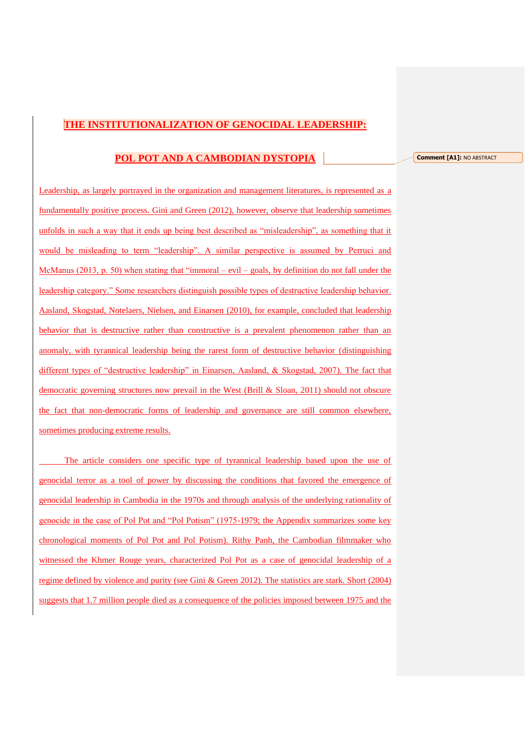# **THE INSTITUTIONALIZATION OF GENOCIDAL LEADERSHIP:**

## **POL POT AND A CAMBODIAN DYSTOPIA**

**Comment [A1]:** NO ABSTRACT

Leadership, as largely portrayed in the organization and management literatures, is represented as a fundamentally positive process. Gini and Green (2012), however, observe that leadership sometimes unfolds in such a way that it ends up being best described as "misleadership", as something that it would be misleading to term "leadership". A similar perspective is assumed by Perruci and McManus (2013, p. 50) when stating that "immoral – evil – goals, by definition do not fall under the leadership category." Some researchers distinguish possible types of destructive leadership behavior. Aasland, Skogstad, Notelaers, Nielsen, and Einarsen (2010), for example, concluded that leadership behavior that is destructive rather than constructive is a prevalent phenomenon rather than an anomaly, with tyrannical leadership being the rarest form of destructive behavior (distinguishing different types of "destructive leadership" in Einarsen, Aasland, & Skogstad, 2007). The fact that democratic governing structures now prevail in the West (Brill & Sloan, 2011) should not obscure the fact that non-democratic forms of leadership and governance are still common elsewhere, sometimes producing extreme results.

The article considers one specific type of tyrannical leadership based upon the use of genocidal terror as a tool of power by discussing the conditions that favored the emergence of genocidal leadership in Cambodia in the 1970s and through analysis of the underlying rationality of genocide in the case of Pol Pot and "Pol Potism" (1975-1979; the Appendix summarizes some key chronological moments of Pol Pot and Pol Potism). Rithy Panh, the Cambodian filmmaker who witnessed the Khmer Rouge years, characterized Pol Pot as a case of genocidal leadership of a regime defined by violence and purity (see Gini & Green 2012). The statistics are stark. Short (2004) suggests that 1.7 million people died as a consequence of the policies imposed between 1975 and the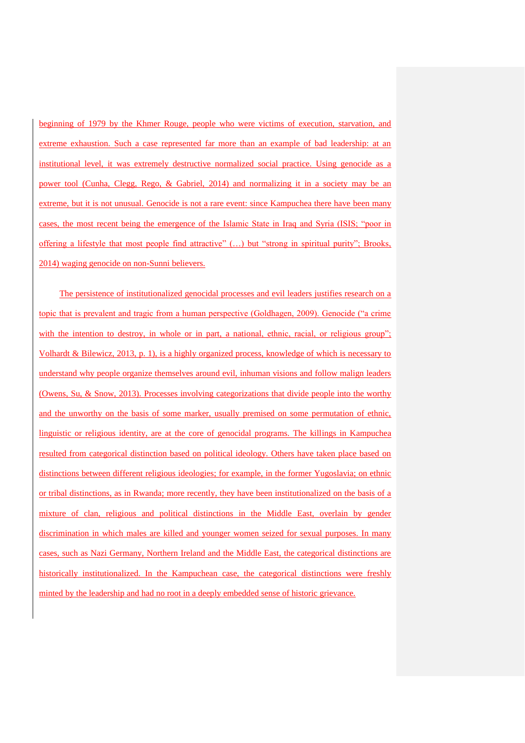beginning of 1979 by the Khmer Rouge, people who were victims of execution, starvation, and extreme exhaustion. Such a case represented far more than an example of bad leadership: at an institutional level, it was extremely destructive normalized social practice. Using genocide as a power tool (Cunha, Clegg, Rego, & Gabriel, 2014) and normalizing it in a society may be an extreme, but it is not unusual. Genocide is not a rare event: since Kampuchea there have been many cases, the most recent being the emergence of the Islamic State in Iraq and Syria (ISIS; "poor in offering a lifestyle that most people find attractive" (…) but "strong in spiritual purity"; Brooks, 2014) waging genocide on non-Sunni believers.

The persistence of institutionalized genocidal processes and evil leaders justifies research on a topic that is prevalent and tragic from a human perspective (Goldhagen, 2009). Genocide ("a crime with the intention to destroy, in whole or in part, a national, ethnic, racial, or religious group"; Volhardt & Bilewicz, 2013, p. 1), is a highly organized process, knowledge of which is necessary to understand why people organize themselves around evil, inhuman visions and follow malign leaders (Owens, Su, & Snow, 2013). Processes involving categorizations that divide people into the worthy and the unworthy on the basis of some marker, usually premised on some permutation of ethnic, linguistic or religious identity, are at the core of genocidal programs. The killings in Kampuchea resulted from categorical distinction based on political ideology. Others have taken place based on distinctions between different religious ideologies; for example, in the former Yugoslavia; on ethnic or tribal distinctions, as in Rwanda; more recently, they have been institutionalized on the basis of a mixture of clan, religious and political distinctions in the Middle East, overlain by gender discrimination in which males are killed and younger women seized for sexual purposes. In many cases, such as Nazi Germany, Northern Ireland and the Middle East, the categorical distinctions are historically institutionalized. In the Kampuchean case, the categorical distinctions were freshly minted by the leadership and had no root in a deeply embedded sense of historic grievance.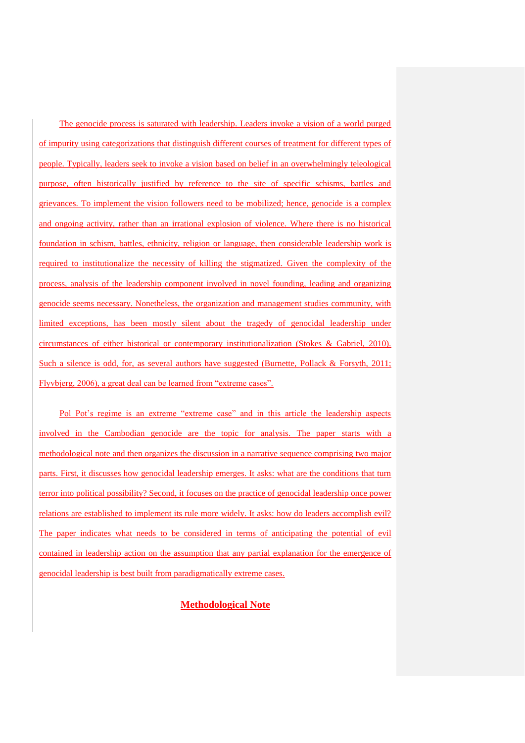The genocide process is saturated with leadership. Leaders invoke a vision of a world purged of impurity using categorizations that distinguish different courses of treatment for different types of people. Typically, leaders seek to invoke a vision based on belief in an overwhelmingly teleological purpose, often historically justified by reference to the site of specific schisms, battles and grievances. To implement the vision followers need to be mobilized; hence, genocide is a complex and ongoing activity, rather than an irrational explosion of violence. Where there is no historical foundation in schism, battles, ethnicity, religion or language, then considerable leadership work is required to institutionalize the necessity of killing the stigmatized. Given the complexity of the process, analysis of the leadership component involved in novel founding, leading and organizing genocide seems necessary. Nonetheless, the organization and management studies community, with limited exceptions, has been mostly silent about the tragedy of genocidal leadership under circumstances of either historical or contemporary institutionalization (Stokes & Gabriel, 2010). Such a silence is odd, for, as several authors have suggested (Burnette, Pollack & Forsyth, 2011; Flyvbjerg, 2006), a great deal can be learned from "extreme cases".

Pol Pot's regime is an extreme "extreme case" and in this article the leadership aspects involved in the Cambodian genocide are the topic for analysis. The paper starts with a methodological note and then organizes the discussion in a narrative sequence comprising two major parts. First, it discusses how genocidal leadership emerges. It asks: what are the conditions that turn terror into political possibility? Second, it focuses on the practice of genocidal leadership once power relations are established to implement its rule more widely. It asks: how do leaders accomplish evil? The paper indicates what needs to be considered in terms of anticipating the potential of evil contained in leadership action on the assumption that any partial explanation for the emergence of genocidal leadership is best built from paradigmatically extreme cases.

## **Methodological Note**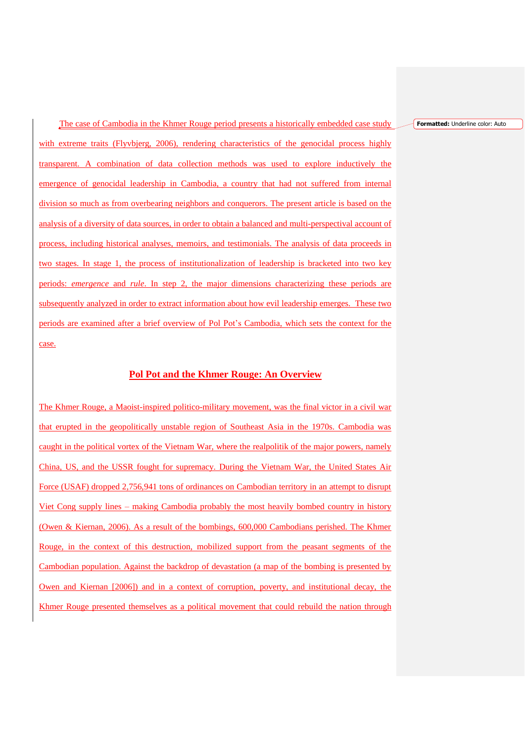**Formatted:** Underline color: Auto

The case of Cambodia in the Khmer Rouge period presents a historically embedded case study with extreme traits (Flyvbjerg, 2006), rendering characteristics of the genocidal process highly transparent. A combination of data collection methods was used to explore inductively the emergence of genocidal leadership in Cambodia, a country that had not suffered from internal division so much as from overbearing neighbors and conquerors. The present article is based on the analysis of a diversity of data sources, in order to obtain a balanced and multi-perspectival account of process, including historical analyses, memoirs, and testimonials. The analysis of data proceeds in two stages. In stage 1, the process of institutionalization of leadership is bracketed into two key periods: *emergence* and *rule*. In step 2, the major dimensions characterizing these periods are subsequently analyzed in order to extract information about how evil leadership emerges. These two periods are examined after a brief overview of Pol Pot's Cambodia, which sets the context for the case.

# **Pol Pot and the Khmer Rouge: An Overview**

The Khmer Rouge, a Maoist-inspired politico-military movement, was the final victor in a civil war that erupted in the geopolitically unstable region of Southeast Asia in the 1970s. Cambodia was caught in the political vortex of the Vietnam War, where the realpolitik of the major powers, namely China, US, and the USSR fought for supremacy. During the Vietnam War, the United States Air Force (USAF) dropped 2,756,941 tons of ordinances on Cambodian territory in an attempt to disrupt Viet Cong supply lines – making Cambodia probably the most heavily bombed country in history (Owen & Kiernan, 2006). As a result of the bombings, 600,000 Cambodians perished. The Khmer Rouge, in the context of this destruction, mobilized support from the peasant segments of the Cambodian population. Against the backdrop of devastation (a map of the bombing is presented by Owen and Kiernan [2006]) and in a context of corruption, poverty, and institutional decay, the Khmer Rouge presented themselves as a political movement that could rebuild the nation through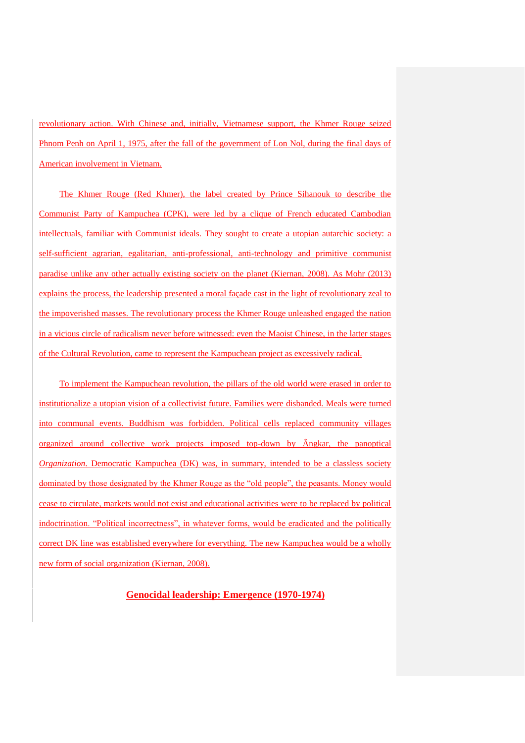revolutionary action. With Chinese and, initially, Vietnamese support, the Khmer Rouge seized Phnom Penh on April 1, 1975, after the fall of the government of Lon Nol, during the final days of American involvement in Vietnam.

The Khmer Rouge (Red Khmer), the label created by Prince Sihanouk to describe the Communist Party of Kampuchea (CPK), were led by a clique of French educated Cambodian intellectuals, familiar with Communist ideals. They sought to create a utopian autarchic society: a self-sufficient agrarian, egalitarian, anti-professional, anti-technology and primitive communist paradise unlike any other actually existing society on the planet (Kiernan, 2008). As Mohr (2013) explains the process, the leadership presented a moral façade cast in the light of revolutionary zeal to the impoverished masses. The revolutionary process the Khmer Rouge unleashed engaged the nation in a vicious circle of radicalism never before witnessed: even the Maoist Chinese, in the latter stages of the Cultural Revolution, came to represent the Kampuchean project as excessively radical.

To implement the Kampuchean revolution, the pillars of the old world were erased in order to institutionalize a utopian vision of a collectivist future. Families were disbanded. Meals were turned into communal events. Buddhism was forbidden. Political cells replaced community villages organized around collective work projects imposed top-down by Ângkar, the panoptical *Organization*. Democratic Kampuchea (DK) was, in summary, intended to be a classless society dominated by those designated by the Khmer Rouge as the "old people", the peasants. Money would cease to circulate, markets would not exist and educational activities were to be replaced by political indoctrination. "Political incorrectness", in whatever forms, would be eradicated and the politically correct DK line was established everywhere for everything. The new Kampuchea would be a wholly new form of social organization (Kiernan, 2008).

## **Genocidal leadership: Emergence (1970-1974)**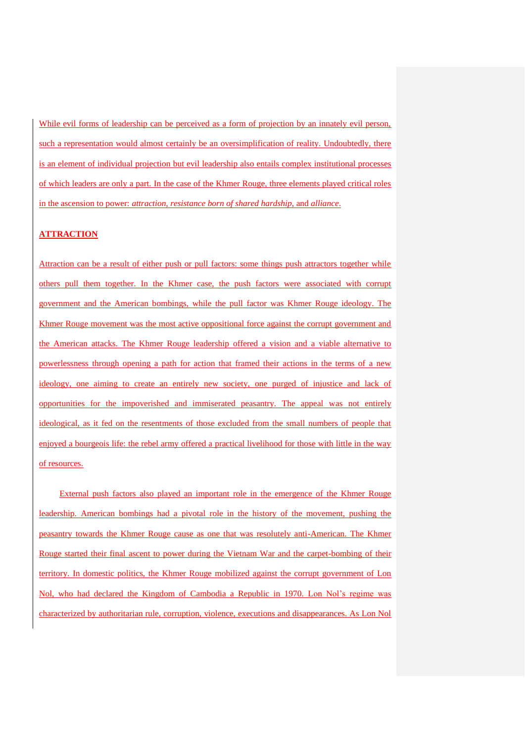While evil forms of leadership can be perceived as a form of projection by an innately evil person, such a representation would almost certainly be an oversimplification of reality. Undoubtedly, there is an element of individual projection but evil leadership also entails complex institutional processes of which leaders are only a part. In the case of the Khmer Rouge, three elements played critical roles in the ascension to power: *attraction, resistance born of shared hardship,* and *alliance*.

#### **ATTRACTION**

Attraction can be a result of either push or pull factors: some things push attractors together while others pull them together. In the Khmer case, the push factors were associated with corrupt government and the American bombings, while the pull factor was Khmer Rouge ideology. The Khmer Rouge movement was the most active oppositional force against the corrupt government and the American attacks. The Khmer Rouge leadership offered a vision and a viable alternative to powerlessness through opening a path for action that framed their actions in the terms of a new ideology, one aiming to create an entirely new society, one purged of injustice and lack of opportunities for the impoverished and immiserated peasantry. The appeal was not entirely ideological, as it fed on the resentments of those excluded from the small numbers of people that enjoyed a bourgeois life: the rebel army offered a practical livelihood for those with little in the way of resources.

External push factors also played an important role in the emergence of the Khmer Rouge leadership. American bombings had a pivotal role in the history of the movement, pushing the peasantry towards the Khmer Rouge cause as one that was resolutely anti-American. The Khmer Rouge started their final ascent to power during the Vietnam War and the carpet-bombing of their territory. In domestic politics, the Khmer Rouge mobilized against the corrupt government of Lon Nol, who had declared the Kingdom of Cambodia a Republic in 1970. Lon Nol's regime was characterized by authoritarian rule, corruption, violence, executions and disappearances. As Lon Nol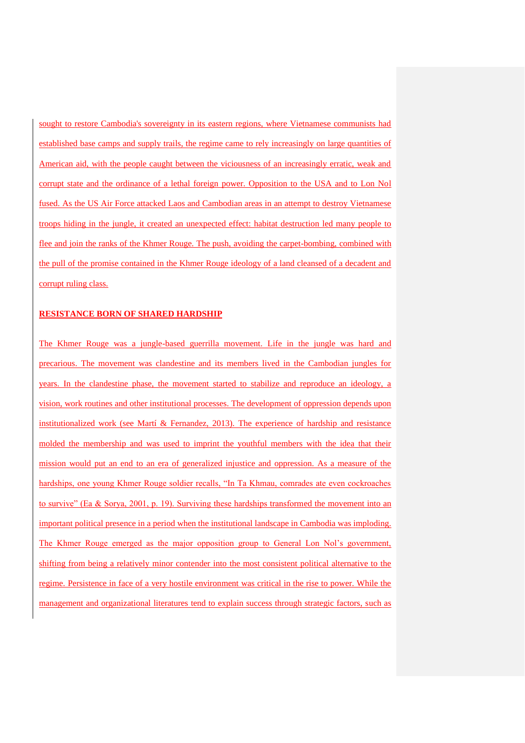sought to restore Cambodia's sovereignty in its eastern regions, where Vietnamese communists had established base camps and supply trails, the regime came to rely increasingly on large quantities of American aid, with the people caught between the viciousness of an increasingly erratic, weak and corrupt state and the ordinance of a lethal foreign power. Opposition to the USA and to Lon Nol fused. As the US Air Force attacked Laos and Cambodian areas in an attempt to destroy Vietnamese troops hiding in the jungle, it created an unexpected effect: habitat destruction led many people to flee and join the ranks of the Khmer Rouge. The push, avoiding the carpet-bombing, combined with the pull of the promise contained in the Khmer Rouge ideology of a land cleansed of a decadent and corrupt ruling class.

#### **RESISTANCE BORN OF SHARED HARDSHIP**

The Khmer Rouge was a jungle-based guerrilla movement. Life in the jungle was hard and precarious. The movement was clandestine and its members lived in the Cambodian jungles for years. In the clandestine phase, the movement started to stabilize and reproduce an ideology, a vision, work routines and other institutional processes. The development of oppression depends upon institutionalized work (see Martí & Fernandez, 2013). The experience of hardship and resistance molded the membership and was used to imprint the youthful members with the idea that their mission would put an end to an era of generalized injustice and oppression. As a measure of the hardships, one young Khmer Rouge soldier recalls, "In Ta Khmau, comrades ate even cockroaches to survive" (Ea & Sorya, 2001, p. 19). Surviving these hardships transformed the movement into an important political presence in a period when the institutional landscape in Cambodia was imploding. The Khmer Rouge emerged as the major opposition group to General Lon Nol's government, shifting from being a relatively minor contender into the most consistent political alternative to the regime. Persistence in face of a very hostile environment was critical in the rise to power. While the management and organizational literatures tend to explain success through strategic factors, such as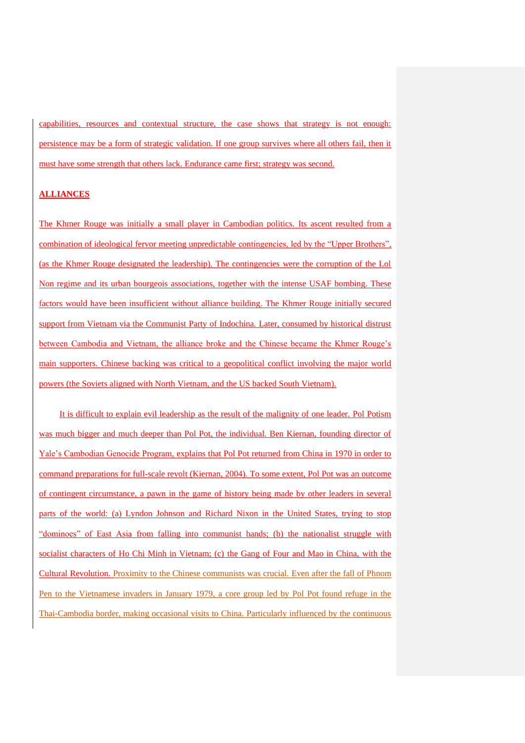capabilities, resources and contextual structure, the case shows that strategy is not enough: persistence may be a form of strategic validation. If one group survives where all others fail, then it must have some strength that others lack. Endurance came first; strategy was second.

## **ALLIANCES**

The Khmer Rouge was initially a small player in Cambodian politics. Its ascent resulted from a combination of ideological fervor meeting unpredictable contingencies, led by the "Upper Brothers", (as the Khmer Rouge designated the leadership). The contingencies were the corruption of the Lol Non regime and its urban bourgeois associations, together with the intense USAF bombing. These factors would have been insufficient without alliance building. The Khmer Rouge initially secured support from Vietnam via the Communist Party of Indochina. Later, consumed by historical distrust between Cambodia and Vietnam, the alliance broke and the Chinese became the Khmer Rouge's main supporters. Chinese backing was critical to a geopolitical conflict involving the major world powers (the Soviets aligned with North Vietnam, and the US backed South Vietnam).

It is difficult to explain evil leadership as the result of the malignity of one leader. Pol Potism was much bigger and much deeper than Pol Pot, the individual. Ben Kiernan, founding director of Yale's Cambodian Genocide Program, explains that Pol Pot returned from China in 1970 in order to command preparations for full-scale revolt (Kiernan, 2004). To some extent, Pol Pot was an outcome of contingent circumstance, a pawn in the game of history being made by other leaders in several parts of the world: (a) Lyndon Johnson and Richard Nixon in the United States, trying to stop "dominoes" of East Asia from falling into communist hands; (b) the nationalist struggle with socialist characters of Ho Chi Minh in Vietnam; (c) the Gang of Four and Mao in China, with the Cultural Revolution. Proximity to the Chinese communists was crucial. Even after the fall of Phnom Pen to the Vietnamese invaders in January 1979, a core group led by Pol Pot found refuge in the Thai-Cambodia border, making occasional visits to China. Particularly influenced by the continuous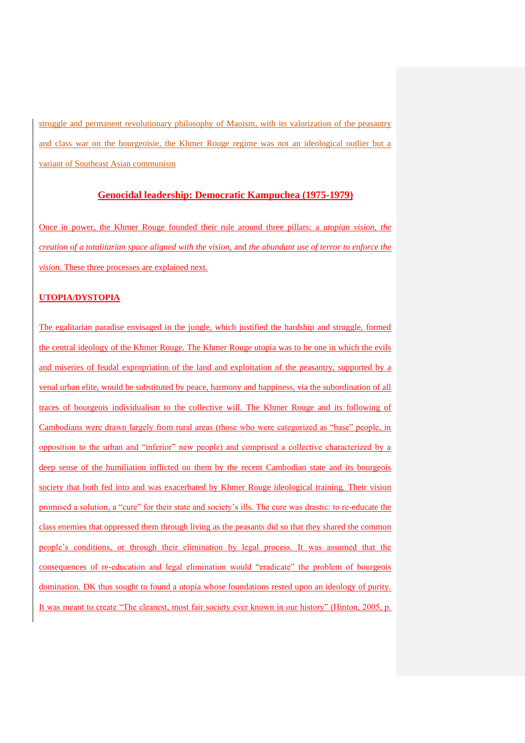struggle and permanent revolutionary philosophy of Maoism, with its valorization of the peasantry and class war on the bourgeoisie, the Khmer Rouge regime was not an ideological outlier but a variant of Southeast Asian communism

#### **Genocidal leadership: Democratic Kampuchea (1975-1979)**

Once in power, the Khmer Rouge founded their rule around three pillars: a *utopian vision, the creation of a totalitarian space aligned with the vision,* and *the abundant use of terror to enforce the vision*. These three processes are explained next.

#### **UTOPIA/DYSTOPIA**

The egalitarian paradise envisaged in the jungle, which justified the hardship and struggle, formed the central ideology of the Khmer Rouge. The Khmer Rouge utopia was to be one in which the evils and miseries of feudal expropriation of the land and exploitation of the peasantry, supported by a venal urban elite, would be substituted by peace, harmony and happiness, via the subordination of all traces of bourgeois individualism to the collective will. The Khmer Rouge and its following of Cambodians were drawn largely from rural areas (those who were categorized as "base" people, in opposition to the urban and "inferior" new people) and comprised a collective characterized by a deep sense of the humiliation inflicted on them by the recent Cambodian state and its bourgeois society that both fed into and was exacerbated by Khmer Rouge ideological training. Their vision promised a solution, a "cure" for their state and society's ills. The cure was drastic: to re-educate the class enemies that oppressed them through living as the peasants did so that they shared the common people's conditions, or through their elimination by legal process. It was assumed that the consequences of re-education and legal elimination would "eradicate" the problem of bourgeois domination. DK thus sought to found a utopia whose foundations rested upon an ideology of purity. It was meant to create "The cleanest, most fair society ever known in our history" (Hinton, 2005, p.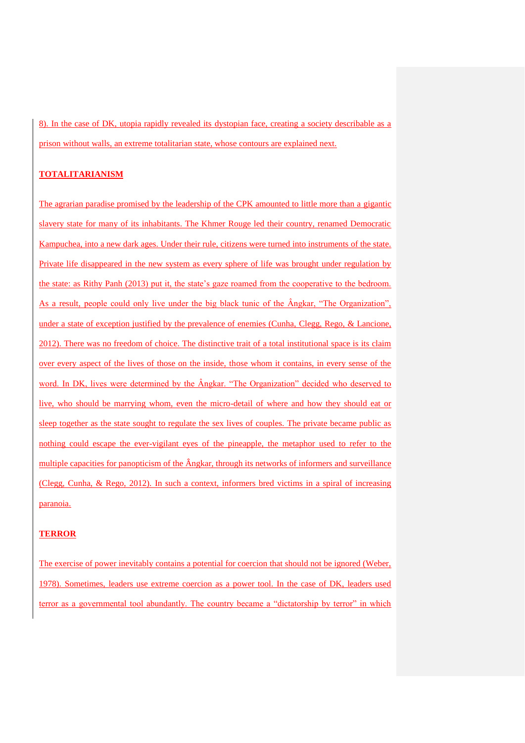8). In the case of DK, utopia rapidly revealed its dystopian face, creating a society describable as a prison without walls, an extreme totalitarian state, whose contours are explained next.

## **TOTALITARIANISM**

The agrarian paradise promised by the leadership of the CPK amounted to little more than a gigantic slavery state for many of its inhabitants. The Khmer Rouge led their country, renamed Democratic Kampuchea, into a new dark ages. Under their rule, citizens were turned into instruments of the state. Private life disappeared in the new system as every sphere of life was brought under regulation by the state: as Rithy Panh (2013) put it, the state's gaze roamed from the cooperative to the bedroom. As a result, people could only live under the big black tunic of the Ângkar, "The Organization", under a state of exception justified by the prevalence of enemies (Cunha, Clegg, Rego, & Lancione, 2012). There was no freedom of choice. The distinctive trait of a total institutional space is its claim over every aspect of the lives of those on the inside, those whom it contains, in every sense of the word. In DK, lives were determined by the Ângkar. "The Organization" decided who deserved to live, who should be marrying whom, even the micro-detail of where and how they should eat or sleep together as the state sought to regulate the sex lives of couples. The private became public as nothing could escape the ever-vigilant eyes of the pineapple, the metaphor used to refer to the multiple capacities for panopticism of the Ângkar, through its networks of informers and surveillance (Clegg, Cunha, & Rego, 2012). In such a context, informers bred victims in a spiral of increasing paranoia.

#### **TERROR**

The exercise of power inevitably contains a potential for coercion that should not be ignored (Weber, 1978). Sometimes, leaders use extreme coercion as a power tool. In the case of DK, leaders used terror as a governmental tool abundantly. The country became a "dictatorship by terror" in which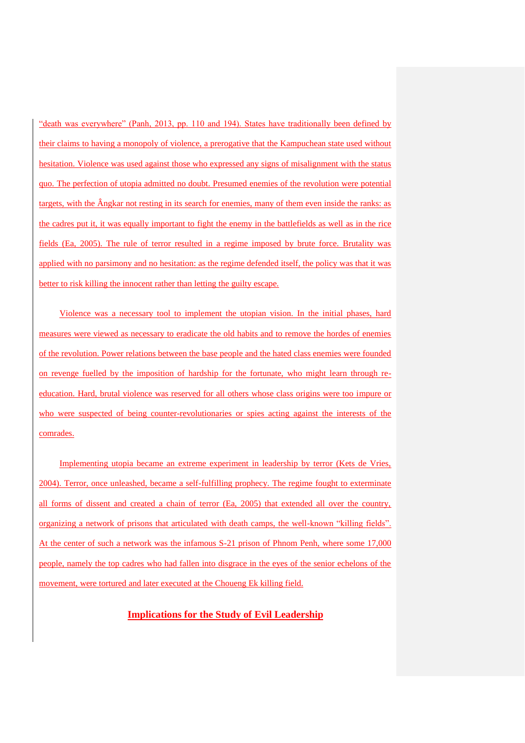"death was everywhere" (Panh, 2013, pp. 110 and 194). States have traditionally been defined by their claims to having a monopoly of violence, a prerogative that the Kampuchean state used without hesitation. Violence was used against those who expressed any signs of misalignment with the status quo. The perfection of utopia admitted no doubt. Presumed enemies of the revolution were potential targets, with the <u>Ângkar not resting in its search for enemies</u>, many of them even inside the ranks: as the cadres put it, it was equally important to fight the enemy in the battlefields as well as in the rice fields (Ea, 2005). The rule of terror resulted in a regime imposed by brute force. Brutality was applied with no parsimony and no hesitation: as the regime defended itself, the policy was that it was better to risk killing the innocent rather than letting the guilty escape.

Violence was a necessary tool to implement the utopian vision. In the initial phases, hard measures were viewed as necessary to eradicate the old habits and to remove the hordes of enemies of the revolution. Power relations between the base people and the hated class enemies were founded on revenge fuelled by the imposition of hardship for the fortunate, who might learn through reeducation. Hard, brutal violence was reserved for all others whose class origins were too impure or who were suspected of being counter-revolutionaries or spies acting against the interests of the comrades.

Implementing utopia became an extreme experiment in leadership by terror (Kets de Vries, 2004). Terror, once unleashed, became a self-fulfilling prophecy. The regime fought to exterminate all forms of dissent and created a chain of terror (Ea, 2005) that extended all over the country, organizing a network of prisons that articulated with death camps, the well-known "killing fields". At the center of such a network was the infamous S-21 prison of Phnom Penh, where some 17,000 people, namely the top cadres who had fallen into disgrace in the eyes of the senior echelons of the movement, were tortured and later executed at the Choueng Ek killing field.

# **Implications for the Study of Evil Leadership**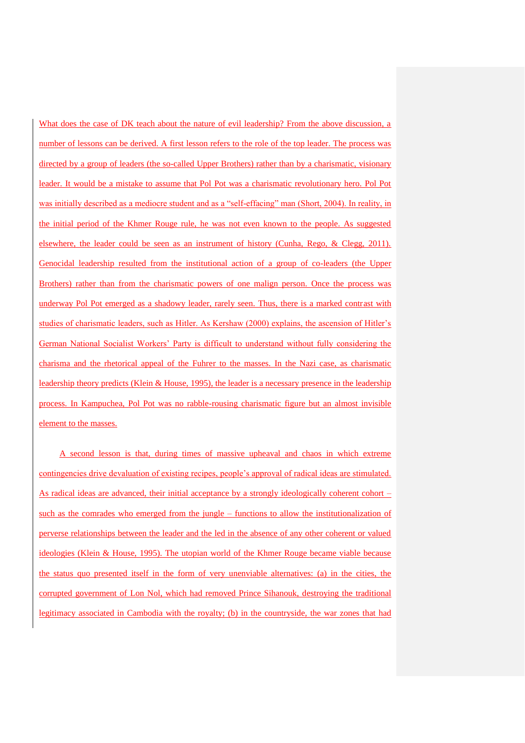What does the case of DK teach about the nature of evil leadership? From the above discussion, a number of lessons can be derived. A first lesson refers to the role of the top leader. The process was directed by a group of leaders (the so-called Upper Brothers) rather than by a charismatic, visionary leader. It would be a mistake to assume that Pol Pot was a charismatic revolutionary hero. Pol Pot was initially described as a mediocre student and as a "self-effacing" man (Short, 2004). In reality, in the initial period of the Khmer Rouge rule, he was not even known to the people. As suggested elsewhere, the leader could be seen as an instrument of history (Cunha, Rego, & Clegg, 2011). Genocidal leadership resulted from the institutional action of a group of co-leaders (the Upper Brothers) rather than from the charismatic powers of one malign person. Once the process was underway Pol Pot emerged as a shadowy leader, rarely seen. Thus, there is a marked contrast with studies of charismatic leaders, such as Hitler. As Kershaw (2000) explains, the ascension of Hitler's German National Socialist Workers' Party is difficult to understand without fully considering the charisma and the rhetorical appeal of the Fuhrer to the masses. In the Nazi case, as charismatic leadership theory predicts (Klein & House, 1995), the leader is a necessary presence in the leadership process. In Kampuchea, Pol Pot was no rabble-rousing charismatic figure but an almost invisible element to the masses.

A second lesson is that, during times of massive upheaval and chaos in which extreme contingencies drive devaluation of existing recipes, people's approval of radical ideas are stimulated. As radical ideas are advanced, their initial acceptance by a strongly ideologically coherent cohort – such as the comrades who emerged from the jungle – functions to allow the institutionalization of perverse relationships between the leader and the led in the absence of any other coherent or valued ideologies (Klein & House, 1995). The utopian world of the Khmer Rouge became viable because the status quo presented itself in the form of very unenviable alternatives: (a) in the cities, the corrupted government of Lon Nol, which had removed Prince Sihanouk, destroying the traditional legitimacy associated in Cambodia with the royalty; (b) in the countryside, the war zones that had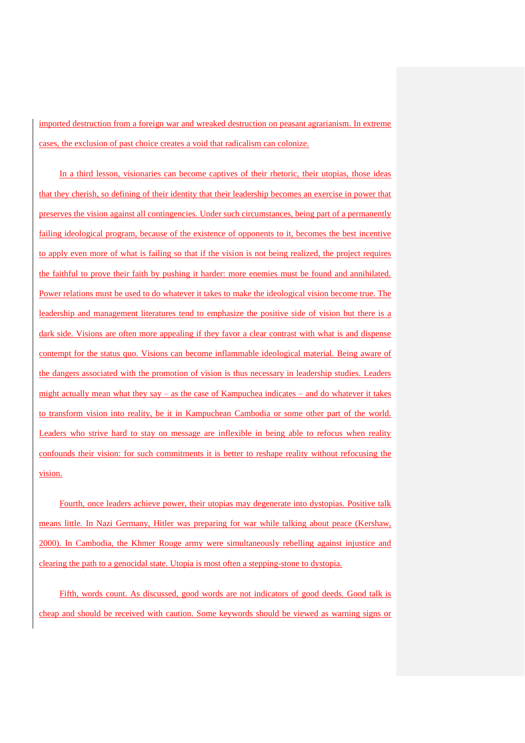imported destruction from a foreign war and wreaked destruction on peasant agrarianism. In extreme cases, the exclusion of past choice creates a void that radicalism can colonize.

In a third lesson, visionaries can become captives of their rhetoric, their utopias, those ideas that they cherish, so defining of their identity that their leadership becomes an exercise in power that preserves the vision against all contingencies. Under such circumstances, being part of a permanently failing ideological program, because of the existence of opponents to it, becomes the best incentive to apply even more of what is failing so that if the vision is not being realized, the project requires the faithful to prove their faith by pushing it harder: more enemies must be found and annihilated. Power relations must be used to do whatever it takes to make the ideological vision become true. The leadership and management literatures tend to emphasize the positive side of vision but there is a dark side. Visions are often more appealing if they favor a clear contrast with what is and dispense contempt for the status quo. Visions can become inflammable ideological material. Being aware of the dangers associated with the promotion of vision is thus necessary in leadership studies. Leaders might actually mean what they say – as the case of Kampuchea indicates – and do whatever it takes to transform vision into reality, be it in Kampuchean Cambodia or some other part of the world. Leaders who strive hard to stay on message are inflexible in being able to refocus when reality confounds their vision: for such commitments it is better to reshape reality without refocusing the vision.

Fourth, once leaders achieve power, their utopias may degenerate into dystopias. Positive talk means little. In Nazi Germany, Hitler was preparing for war while talking about peace (Kershaw, 2000). In Cambodia, the Khmer Rouge army were simultaneously rebelling against injustice and clearing the path to a genocidal state. Utopia is most often a stepping-stone to dystopia.

Fifth, words count. As discussed, good words are not indicators of good deeds. Good talk is cheap and should be received with caution. Some keywords should be viewed as warning signs or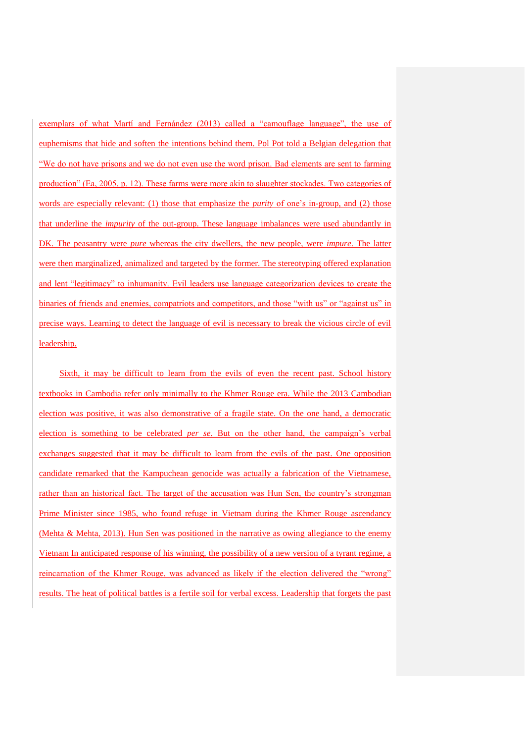exemplars of what Martí and Fernández (2013) called a "camouflage language", the use of euphemisms that hide and soften the intentions behind them. Pol Pot told a Belgian delegation that "We do not have prisons and we do not even use the word prison. Bad elements are sent to farming production" (Ea, 2005, p. 12). These farms were more akin to slaughter stockades. Two categories of words are especially relevant: (1) those that emphasize the *purity* of one's in-group, and (2) those that underline the *impurity* of the out-group. These language imbalances were used abundantly in DK. The peasantry were *pure* whereas the city dwellers, the new people, were *impure*. The latter were then marginalized, animalized and targeted by the former. The stereotyping offered explanation and lent "legitimacy" to inhumanity. Evil leaders use language categorization devices to create the binaries of friends and enemies, compatriots and competitors, and those "with us" or "against us" in precise ways. Learning to detect the language of evil is necessary to break the vicious circle of evil leadership.

Sixth, it may be difficult to learn from the evils of even the recent past. School history textbooks in Cambodia refer only minimally to the Khmer Rouge era. While the 2013 Cambodian election was positive, it was also demonstrative of a fragile state. On the one hand, a democratic election is something to be celebrated *per se*. But on the other hand, the campaign's verbal exchanges suggested that it may be difficult to learn from the evils of the past. One opposition candidate remarked that the Kampuchean genocide was actually a fabrication of the Vietnamese, rather than an historical fact. The target of the accusation was Hun Sen, the country's strongman Prime Minister since 1985, who found refuge in Vietnam during the Khmer Rouge ascendancy (Mehta & Mehta, 2013). Hun Sen was positioned in the narrative as owing allegiance to the enemy Vietnam In anticipated response of his winning, the possibility of a new version of a tyrant regime, a reincarnation of the Khmer Rouge, was advanced as likely if the election delivered the "wrong" results. The heat of political battles is a fertile soil for verbal excess. Leadership that forgets the past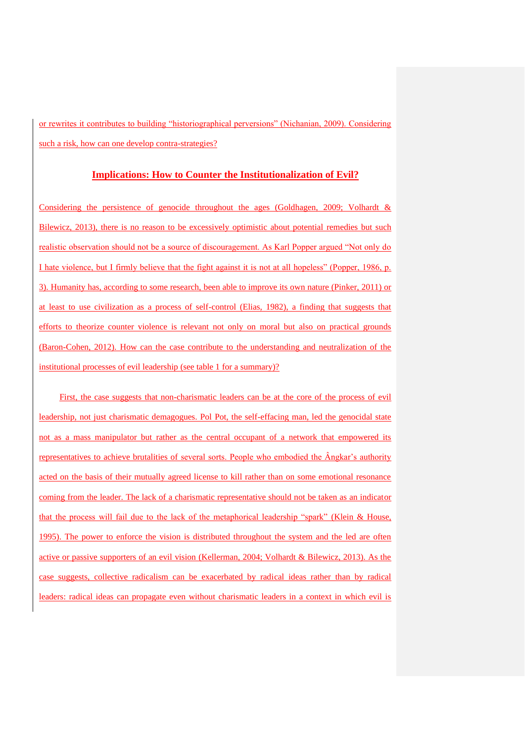or rewrites it contributes to building "historiographical perversions" (Nichanian, 2009). Considering such a risk, how can one develop contra-strategies?

#### **Implications: How to Counter the Institutionalization of Evil?**

Considering the persistence of genocide throughout the ages (Goldhagen, 2009; Volhardt & Bilewicz, 2013), there is no reason to be excessively optimistic about potential remedies but such realistic observation should not be a source of discouragement. As Karl Popper argued "Not only do I hate violence, but I firmly believe that the fight against it is not at all hopeless" (Popper, 1986, p. 3). Humanity has, according to some research, been able to improve its own nature (Pinker, 2011) or at least to use civilization as a process of self-control (Elias, 1982), a finding that suggests that efforts to theorize counter violence is relevant not only on moral but also on practical grounds (Baron-Cohen, 2012). How can the case contribute to the understanding and neutralization of the institutional processes of evil leadership (see table 1 for a summary)?

First, the case suggests that non-charismatic leaders can be at the core of the process of evil leadership, not just charismatic demagogues. Pol Pot, the self-effacing man, led the genocidal state not as a mass manipulator but rather as the central occupant of a network that empowered its representatives to achieve brutalities of several sorts. People who embodied the Ângkar's authority acted on the basis of their mutually agreed license to kill rather than on some emotional resonance coming from the leader. The lack of a charismatic representative should not be taken as an indicator that the process will fail due to the lack of the metaphorical leadership "spark" (Klein & House, 1995). The power to enforce the vision is distributed throughout the system and the led are often active or passive supporters of an evil vision (Kellerman, 2004; Volhardt & Bilewicz, 2013). As the case suggests, collective radicalism can be exacerbated by radical ideas rather than by radical leaders: radical ideas can propagate even without charismatic leaders in a context in which evil is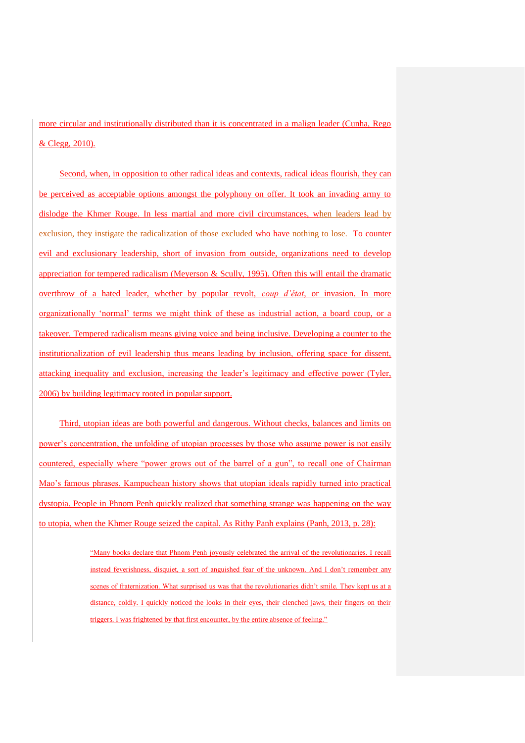more circular and institutionally distributed than it is concentrated in a malign leader (Cunha, Rego & Clegg, 2010).

Second, when, in opposition to other radical ideas and contexts, radical ideas flourish, they can be perceived as acceptable options amongst the polyphony on offer. It took an invading army to dislodge the Khmer Rouge. In less martial and more civil circumstances, when leaders lead by exclusion, they instigate the radicalization of those excluded who have nothing to lose. To counter evil and exclusionary leadership, short of invasion from outside, organizations need to develop appreciation for tempered radicalism (Meyerson & Scully, 1995). Often this will entail the dramatic overthrow of a hated leader, whether by popular revolt, *coup d'état*, or invasion. In more organizationally 'normal' terms we might think of these as industrial action, a board coup, or a takeover. Tempered radicalism means giving voice and being inclusive. Developing a counter to the institutionalization of evil leadership thus means leading by inclusion, offering space for dissent, attacking inequality and exclusion, increasing the leader's legitimacy and effective power (Tyler, 2006) by building legitimacy rooted in popular support.

Third, utopian ideas are both powerful and dangerous. Without checks, balances and limits on power's concentration, the unfolding of utopian processes by those who assume power is not easily countered, especially where "power grows out of the barrel of a gun", to recall one of Chairman Mao's famous phrases. Kampuchean history shows that utopian ideals rapidly turned into practical dystopia. People in Phnom Penh quickly realized that something strange was happening on the way to utopia, when the Khmer Rouge seized the capital. As Rithy Panh explains (Panh, 2013, p. 28):

> "Many books declare that Phnom Penh joyously celebrated the arrival of the revolutionaries. I recall instead feverishness, disquiet, a sort of anguished fear of the unknown. And I don't remember any scenes of fraternization. What surprised us was that the revolutionaries didn't smile. They kept us at a distance, coldly. I quickly noticed the looks in their eyes, their clenched jaws, their fingers on their triggers. I was frightened by that first encounter, by the entire absence of feeling."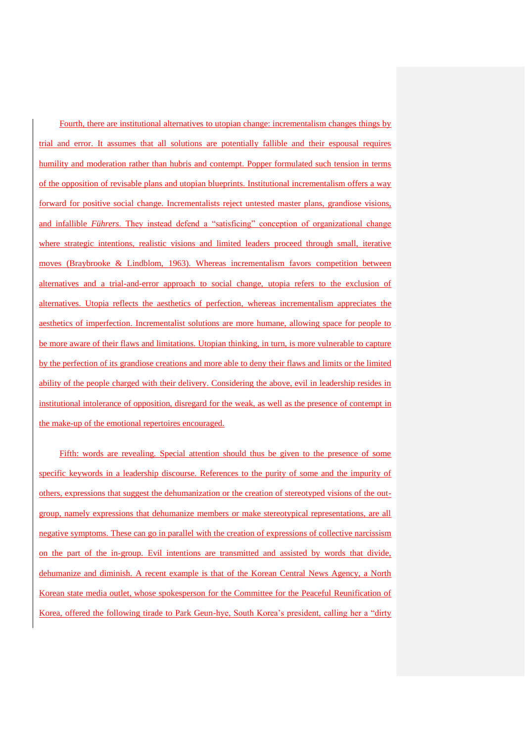Fourth, there are institutional alternatives to utopian change: incrementalism changes things by trial and error. It assumes that all solutions are potentially fallible and their espousal requires humility and moderation rather than hubris and contempt. Popper formulated such tension in terms of the opposition of revisable plans and utopian blueprints. Institutional incrementalism offers a way forward for positive social change. Incrementalists reject untested master plans, grandiose visions, and infallible *Führers*. They instead defend a "satisficing" conception of organizational change where strategic intentions, realistic visions and limited leaders proceed through small, iterative moves (Braybrooke & Lindblom, 1963). Whereas incrementalism favors competition between alternatives and a trial-and-error approach to social change, utopia refers to the exclusion of alternatives. Utopia reflects the aesthetics of perfection, whereas incrementalism appreciates the aesthetics of imperfection. Incrementalist solutions are more humane, allowing space for people to be more aware of their flaws and limitations. Utopian thinking, in turn, is more vulnerable to capture by the perfection of its grandiose creations and more able to deny their flaws and limits or the limited ability of the people charged with their delivery. Considering the above, evil in leadership resides in institutional intolerance of opposition, disregard for the weak, as well as the presence of contempt in the make-up of the emotional repertoires encouraged.

Fifth: words are revealing. Special attention should thus be given to the presence of some specific keywords in a leadership discourse. References to the purity of some and the impurity of others, expressions that suggest the dehumanization or the creation of stereotyped visions of the outgroup, namely expressions that dehumanize members or make stereotypical representations, are all negative symptoms. These can go in parallel with the creation of expressions of collective narcissism on the part of the in-group. Evil intentions are transmitted and assisted by words that divide, dehumanize and diminish. A recent example is that of the Korean Central News Agency, a North Korean state media outlet, whose spokesperson for the Committee for the Peaceful Reunification of Korea, offered the following tirade to Park Geun-hye, South Korea's president, calling her a "dirty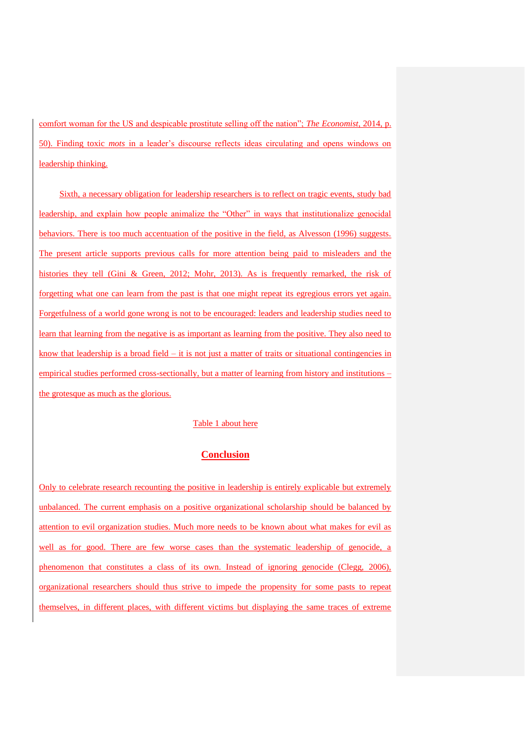comfort woman for the US and despicable prostitute selling off the nation"; *The Economist*, 2014, p. 50). Finding toxic *mots* in a leader's discourse reflects ideas circulating and opens windows on leadership thinking.

Sixth, a necessary obligation for leadership researchers is to reflect on tragic events, study bad leadership, and explain how people animalize the "Other" in ways that institutionalize genocidal behaviors. There is too much accentuation of the positive in the field, as Alvesson (1996) suggests. The present article supports previous calls for more attention being paid to misleaders and the histories they tell (Gini & Green, 2012; Mohr, 2013). As is frequently remarked, the risk of forgetting what one can learn from the past is that one might repeat its egregious errors yet again. Forgetfulness of a world gone wrong is not to be encouraged: leaders and leadership studies need to learn that learning from the negative is as important as learning from the positive. They also need to know that leadership is a broad field  $-$  it is not just a matter of traits or situational contingencies in empirical studies performed cross-sectionally, but a matter of learning from history and institutions – the grotesque as much as the glorious.

#### Table 1 about here

#### **Conclusion**

Only to celebrate research recounting the positive in leadership is entirely explicable but extremely unbalanced. The current emphasis on a positive organizational scholarship should be balanced by attention to evil organization studies. Much more needs to be known about what makes for evil as well as for good. There are few worse cases than the systematic leadership of genocide, a phenomenon that constitutes a class of its own. Instead of ignoring genocide (Clegg, 2006), organizational researchers should thus strive to impede the propensity for some pasts to repeat themselves, in different places, with different victims but displaying the same traces of extreme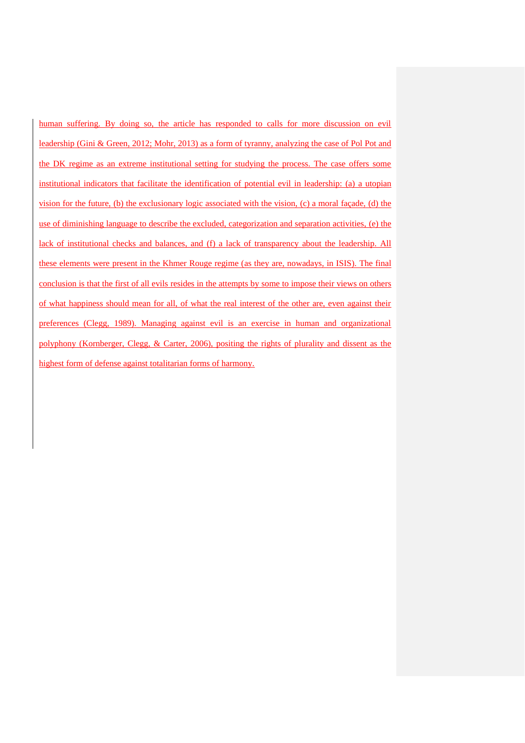human suffering. By doing so, the article has responded to calls for more discussion on evil leadership (Gini & Green, 2012; Mohr, 2013) as a form of tyranny, analyzing the case of Pol Pot and the DK regime as an extreme institutional setting for studying the process. The case offers some institutional indicators that facilitate the identification of potential evil in leadership: (a) a utopian vision for the future, (b) the exclusionary logic associated with the vision, (c) a moral façade, (d) the use of diminishing language to describe the excluded, categorization and separation activities, (e) the lack of institutional checks and balances, and (f) a lack of transparency about the leadership. All these elements were present in the Khmer Rouge regime (as they are, nowadays, in ISIS). The final conclusion is that the first of all evils resides in the attempts by some to impose their views on others of what happiness should mean for all, of what the real interest of the other are, even against their preferences (Clegg, 1989). Managing against evil is an exercise in human and organizational polyphony (Kornberger, Clegg, & Carter, 2006), positing the rights of plurality and dissent as the highest form of defense against totalitarian forms of harmony.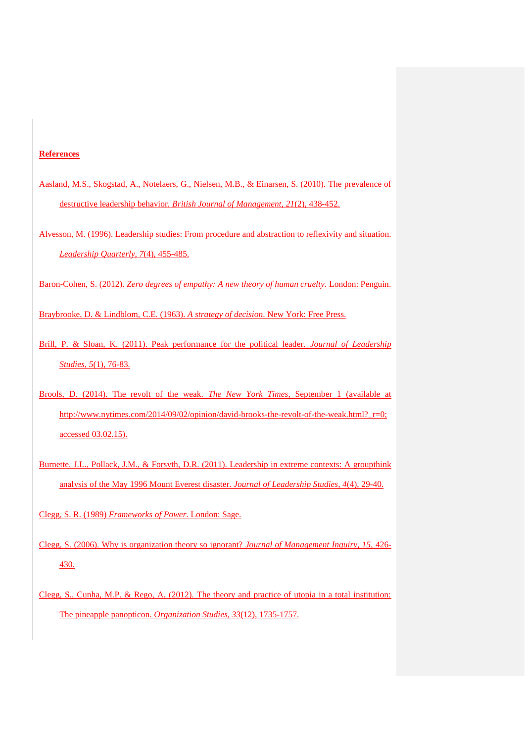#### **References**

Aasland, M.S., Skogstad, A., Notelaers, G., Nielsen, M.B., & Einarsen, S. (2010). The prevalence of destructive leadership behavior. *British Journal of Management, 21*(2), 438-452.

Alvesson, M. (1996). Leadership studies: From procedure and abstraction to reflexivity and situation. *Leadership Quarterly, 7*(4), 455-485.

Baron-Cohen, S. (2012). *Zero degrees of empathy: A new theory of human cruelty*. London: Penguin.

Braybrooke, D. & Lindblom, C.E. (1963). *A strategy of decision*. New York: Free Press.

Brill, P. & Sloan, K. (2011). Peak performance for the political leader. *Journal of Leadership Studies, 5*(1), 76-83.

Brools, D. (2014). The revolt of the weak. *The New York Times*, September 1 (available at http://www.nytimes.com/2014/09/02/opinion/david-brooks-the-revolt-of-the-weak.html? r=0; accessed 03.02.15).

Burnette, J.L., Pollack, J.M., & Forsyth, D.R. (2011). Leadership in extreme contexts: A groupthink analysis of the May 1996 Mount Everest disaster. *Journal of Leadership Studies, 4*(4), 29-40.

Clegg, S. R. (1989) *Frameworks of Power*. London: Sage.

Clegg, S. (2006). Why is organization theory so ignorant? *Journal of Management Inquiry, 15*, 426- 430.

Clegg, S., Cunha, M.P. & Rego, A. (2012). The theory and practice of utopia in a total institution: The pineapple panopticon. *Organization Studies, 33*(12), 1735-1757.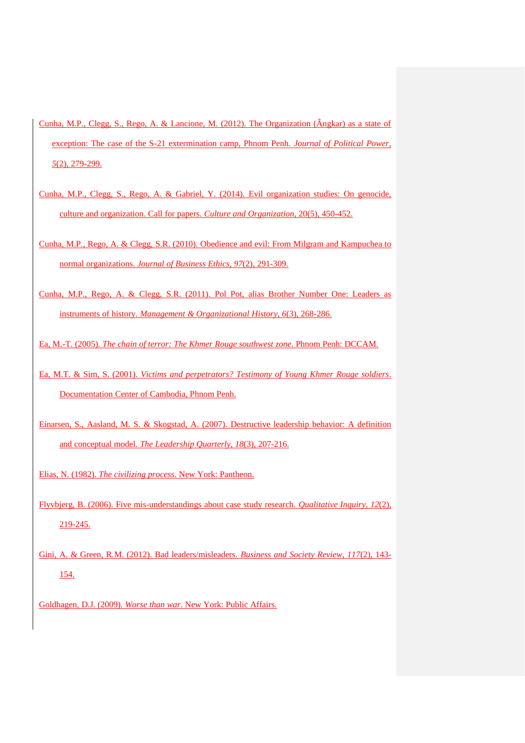- Cunha, M.P., Clegg, S., Rego, A. & Lancione, M. (2012). The Organization (Ângkar) as a state of exception: The case of the S-21 extermination camp, Phnom Penh. *Journal of Political Power, 5*(2), 279-299.
- Cunha, M.P., Clegg, S., Rego, A. & Gabriel, Y. (2014). Evil organization studies: On genocide, culture and organization. Call for papers. *Culture and Organization*, 20(5), 450-452.

Cunha, M.P., Rego, A. & Clegg, S.R. (2010). Obedience and evil: From Milgram and Kampuchea to normal organizations. *Journal of Business Ethics, 97*(2), 291-309.

Cunha, M.P., Rego, A. & Clegg, S.R. (2011). Pol Pot, alias Brother Number One: Leaders as instruments of history. *Management & Organizational History, 6*(3), 268-286.

Ea, M.-T. (2005). *The chain of terror: The Khmer Rouge southwest zone*. Phnom Penh: DCCAM.

Ea, M.T. & Sim, S. (2001). *Victims and perpetrators? Testimony of Young Khmer Rouge soldiers*. Documentation Center of Cambodia, Phnom Penh.

Einarsen, S., Aasland, M. S. & Skogstad, A. (2007). Destructive leadership behavior: A definition and conceptual model. *The Leadership Quarterly*, *18*(3), 207-216.

Elias, N. (1982). *The civilizing process*. New York: Pantheon.

Flyvbjerg, B. (2006). Five mis-understandings about case study research. *Qualitative Inquiry*, *12*(2), 219-245.

Gini, A. & Green, R.M. (2012). Bad leaders/misleaders. *Business and Society Review, 117*(2), 143- 154.

Goldhagen, D.J. (2009). *Worse than war*. New York: Public Affairs.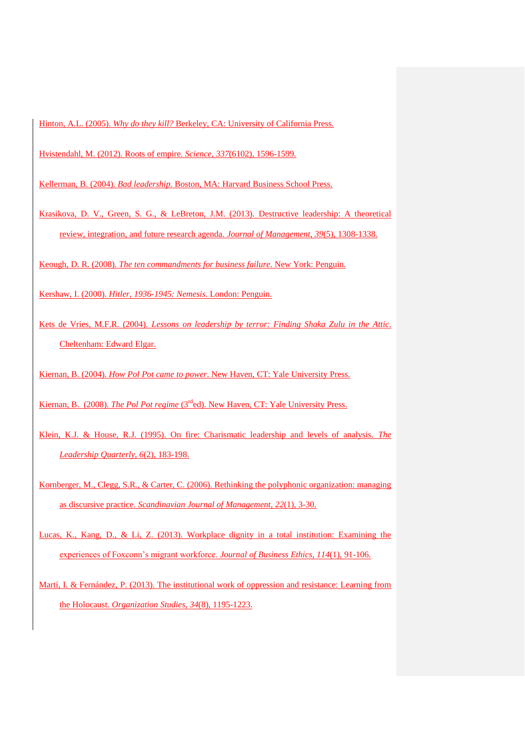Hinton, A.L. (2005). *Why do they kill?* Berkeley, CA: University of California Press.

Hvistendahl, M. (2012). Roots of empire. *Science*, *337*(6102), 1596-1599.

Kellerman, B. (2004). *Bad leadership*. Boston, MA: Harvard Business School Press.

Krasikova, D. V., Green, S. G., & LeBreton, J.M. (2013). Destructive leadership: A theoretical review, integration, and future research agenda. *Journal of Management, 39*(5), 1308-1338.

Keough, D. R. (2008). *The ten commandments for business failure*. New York: Penguin.

Kershaw, I. (2000). *Hitler, 1936-1945: Nemesis*. London: Penguin.

Kets de Vries, M.F.R. (2004). *Lessons on leadership by terror: Finding Shaka Zulu in the Attic*. Cheltenham: Edward Elgar.

Kiernan, B. (2004). *How Pol Pot came to power*. New Haven, CT: Yale University Press.

Kiernan, B. (2008). *The Pol Pot regime* (3<sup>rd</sup>ed). New Haven, CT: Yale University Press.

Klein, K.J. & House, R.J. (1995). On fire: Charismatic leadership and levels of analysis. *The Leadership Quarterly, 6*(2), 183-198.

Kornberger, M., Clegg, S.R., & Carter, C. (2006). Rethinking the polyphonic organization: managing as discursive practice. *Scandinavian Journal of Management, 22*(1), 3-30.

Lucas, K., Kang, D., & Li, Z. (2013). Workplace dignity in a total institution: Examining the experiences of Foxconn's migrant workforce. *Journal of Business Ethics, 114*(1), 91-106.

Martí, I. & Fernández, P. (2013). The institutional work of oppression and resistance: Learning from the Holocaust. *Organization Studies, 34*(8), 1195-1223.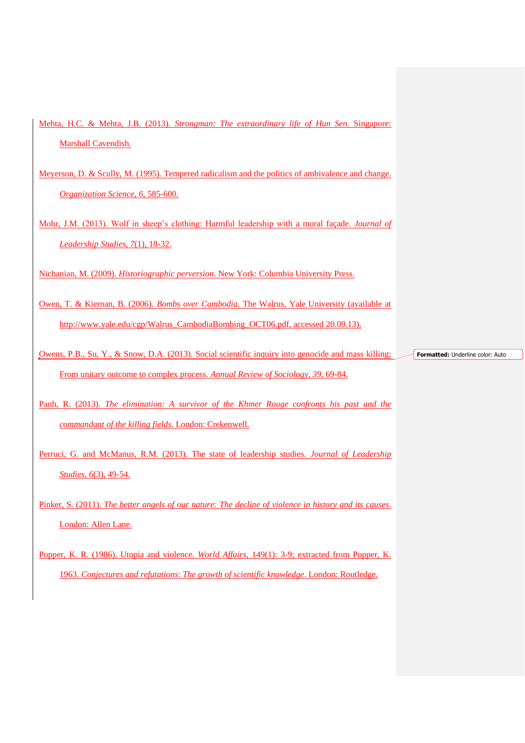Mehta, H.C. & Mehta, J.B. (2013). *Strongman: The extraordinary life of Hun Sen*. Singapore: Marshall Cavendish.

Meyerson, D. & Scully, M. (1995). Tempered radicalism and the politics of ambivalence and change. *Organization Science, 6,* 585-600.

Mohr, J.M. (2013). Wolf in sheep's clothing: Harmful leadership with a moral façade. *Journal of Leadership Studies, 7*(1), 18-32.

Nichanian, M. (2009). *Historiographic perversion*. New York: Columbia University Press.

Owen, T. & Kiernan, B. (2006). *Bombs over Cambodia*. The Walrus, Yale University (available at http://www.yale.edu/cgp/Walrus\_CambodiaBombing\_OCT06.pdf, accessed 20.09.13).

Owens, P.B., Su, Y., & Snow, D.A. (2013). Social scientific inquiry into genocide and mass killing: From unitary outcome to complex process. *Annual Review of Sociology, 39*, 69-84.

Panh, R. (2013). *The elimination: A survivor of the Khmer Rouge confronts his past and the commandant of the killing fields*. London: Crekenwell.

Perruci, G. and McManus, R.M. (2013). The state of leadership studies. *Journal of Leadership Studies, 6*(3), 49-54.

Pinker, S. (2011). *The better angels of our nature: The decline of violence in history and its causes*. London: Allen Lane.

Popper, K. R. (1986). Utopia and violence. *World Affairs*, 149(1): 3-9; extracted from Popper, K. 1963. *Conjectures and refutations*: *The growth of scientific knowledge*. London: Routledge.

**Formatted:** Underline color: Auto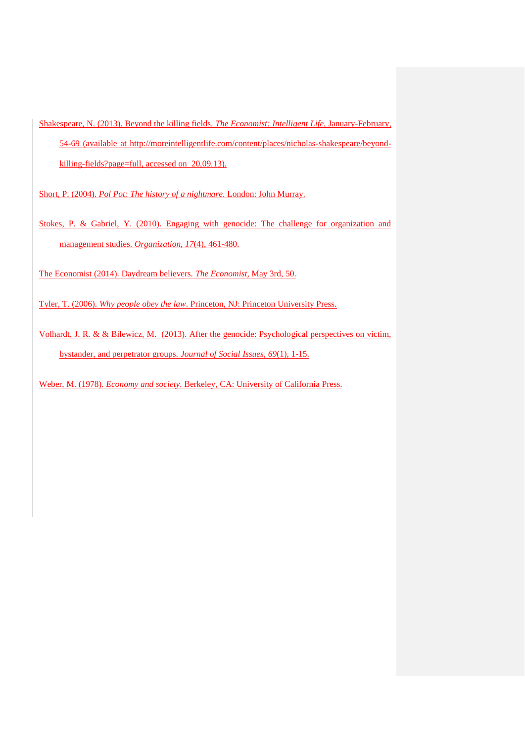Shakespeare, N. (2013). Beyond the killing fields. *The Economist: Intelligent Life*, January-February, 54-69 (available at http://moreintelligentlife.com/content/places/nicholas-shakespeare/beyondkilling-fields?page=full, accessed on 20,09.13).

Short, P. (2004). *Pol Pot: The history of a nightmare*. London: John Murray.

Stokes, P. & Gabriel, Y. (2010). Engaging with genocide: The challenge for organization and management studies. *Organization, 17*(4), 461-480.

The Economist (2014). Daydream believers. *The Economist,* May 3rd, 50.

Tyler, T. (2006). *Why people obey the law*. Princeton, NJ: Princeton University Press.

Volhardt, J. R. & & Bilewicz, M. (2013). After the genocide: Psychological perspectives on victim, bystander, and perpetrator groups. *Journal of Social Issues*, *69*(1), 1-15.

Weber, M. (1978). *Economy and society*. Berkeley, CA: University of California Press.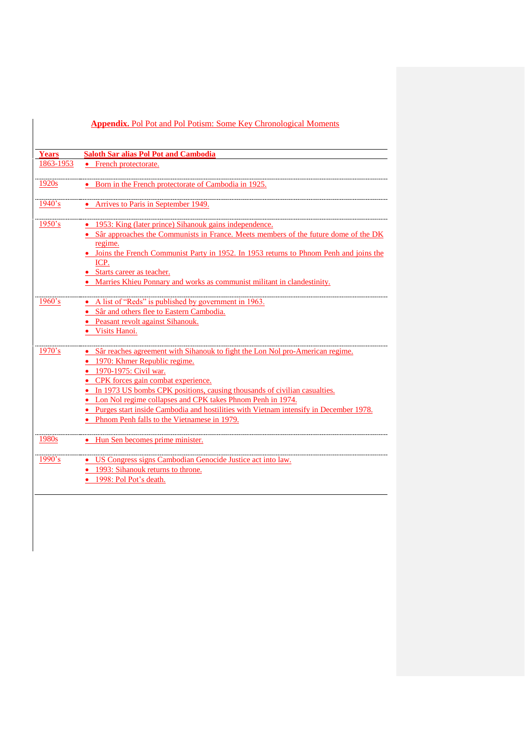| <b>Years</b> | <b>Saloth Sar alias Pol Pot and Cambodia</b>                                                                                                            |
|--------------|---------------------------------------------------------------------------------------------------------------------------------------------------------|
| 1863-1953    | • French protectorate.                                                                                                                                  |
| 1920s        | • Born in the French protectorate of Cambodia in 1925.                                                                                                  |
| 1940's       | • Arrives to Paris in September 1949.                                                                                                                   |
| 1950's       | • 1953: King (later prince) Sihanouk gains independence.                                                                                                |
|              | • Sâr approaches the Communists in France. Meets members of the future dome of the DK<br>regime.                                                        |
|              | • Joins the French Communist Party in 1952. In 1953 returns to Phnom Penh and joins the<br>ICP.                                                         |
|              | • Starts career as teacher.                                                                                                                             |
|              | • Marries Khieu Ponnary and works as communist militant in clandestinity.                                                                               |
| 1960's       | • A list of "Reds" is published by government in 1963.                                                                                                  |
|              | • Sâr and others flee to Eastern Cambodia.                                                                                                              |
|              | • Peasant revolt against Sihanouk.                                                                                                                      |
|              | • Visits Hanoi.                                                                                                                                         |
| 1970's       | • Sâr reaches agreement with Sihanouk to fight the Lon Nol pro-American regime.                                                                         |
|              | • 1970: Khmer Republic regime.                                                                                                                          |
|              | • 1970-1975: Civil war.                                                                                                                                 |
|              | • CPK forces gain combat experience.                                                                                                                    |
|              | • In 1973 US bombs CPK positions, causing thousands of civilian casualties.                                                                             |
|              | • Lon Nol regime collapses and CPK takes Phnom Penh in 1974.<br>• Purges start inside Cambodia and hostilities with Vietnam intensify in December 1978. |
|              | • Phnom Penh falls to the Vietnamese in 1979.                                                                                                           |
|              |                                                                                                                                                         |
| 1980s        | • Hun Sen becomes prime minister.                                                                                                                       |
| 1990's       | • US Congress signs Cambodian Genocide Justice act into law.                                                                                            |
|              | • 1993: Sihanouk returns to throne.                                                                                                                     |
|              | • 1998: Pol Pot's death.                                                                                                                                |